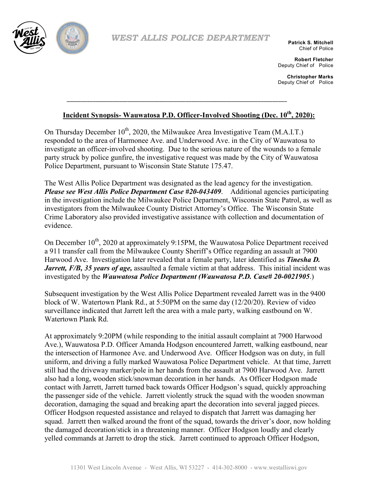

*WEST ALLIS POLICE DEPARTMENT*

**Patrick S. Mitchell** Chief of Police

**Robert Fletcher** Deputy Chief of Police

**Christopher Marks** Deputy Chief of Police

## **Incident Synopsis- Wauwatosa P.D. Officer-Involved Shooting (Dec. 10th, 2020):**

**\_\_\_\_\_\_\_\_\_\_\_\_\_\_\_\_\_\_\_\_\_\_\_\_\_\_\_\_\_\_\_\_\_\_\_\_\_\_\_\_\_\_\_\_\_\_\_\_\_\_\_\_\_\_\_\_\_\_\_\_\_\_\_\_\_\_\_\_\_\_\_\_\_\_\_\_**

On Thursday December  $10^{th}$ , 2020, the Milwaukee Area Investigative Team (M.A.I.T.) responded to the area of Harmonee Ave. and Underwood Ave. in the City of Wauwatosa to investigate an officer-involved shooting. Due to the serious nature of the wounds to a female party struck by police gunfire, the investigative request was made by the City of Wauwatosa Police Department, pursuant to Wisconsin State Statute 175.47.

The West Allis Police Department was designated as the lead agency for the investigation. *Please see West Allis Police Department Case #20-043409*. Additional agencies participating in the investigation include the Milwaukee Police Department, Wisconsin State Patrol, as well as investigators from the Milwaukee County District Attorney's Office. The Wisconsin State Crime Laboratory also provided investigative assistance with collection and documentation of evidence.

On December 10<sup>th</sup>, 2020 at approximately 9:15PM, the Wauwatosa Police Department received a 911 transfer call from the Milwaukee County Sheriff's Office regarding an assault at 7900 Harwood Ave. Investigation later revealed that a female party, later identified as *Tinesha D. Jarrett, F/B, 35 years of age,* assaulted a female victim at that address. This initial incident was investigated by the *Wauwatosa Police Department (Wauwatosa P.D. Case# 20-0021905*.)

Subsequent investigation by the West Allis Police Department revealed Jarrett was in the 9400 block of W. Watertown Plank Rd., at 5:50PM on the same day (12/20/20). Review of video surveillance indicated that Jarrett left the area with a male party, walking eastbound on W. Watertown Plank Rd.

At approximately 9:20PM (while responding to the initial assault complaint at 7900 Harwood Ave.), Wauwatosa P.D. Officer Amanda Hodgson encountered Jarrett, walking eastbound, near the intersection of Harmonee Ave. and Underwood Ave. Officer Hodgson was on duty, in full uniform, and driving a fully marked Wauwatosa Police Department vehicle. At that time, Jarrett still had the driveway marker/pole in her hands from the assault at 7900 Harwood Ave. Jarrett also had a long, wooden stick/snowman decoration in her hands. As Officer Hodgson made contact with Jarrett, Jarrett turned back towards Officer Hodgson's squad, quickly approaching the passenger side of the vehicle. Jarrett violently struck the squad with the wooden snowman decoration, damaging the squad and breaking apart the decoration into several jagged pieces. Officer Hodgson requested assistance and relayed to dispatch that Jarrett was damaging her squad. Jarrett then walked around the front of the squad, towards the driver's door, now holding the damaged decoration/stick in a threatening manner. Officer Hodgson loudly and clearly yelled commands at Jarrett to drop the stick. Jarrett continued to approach Officer Hodgson,